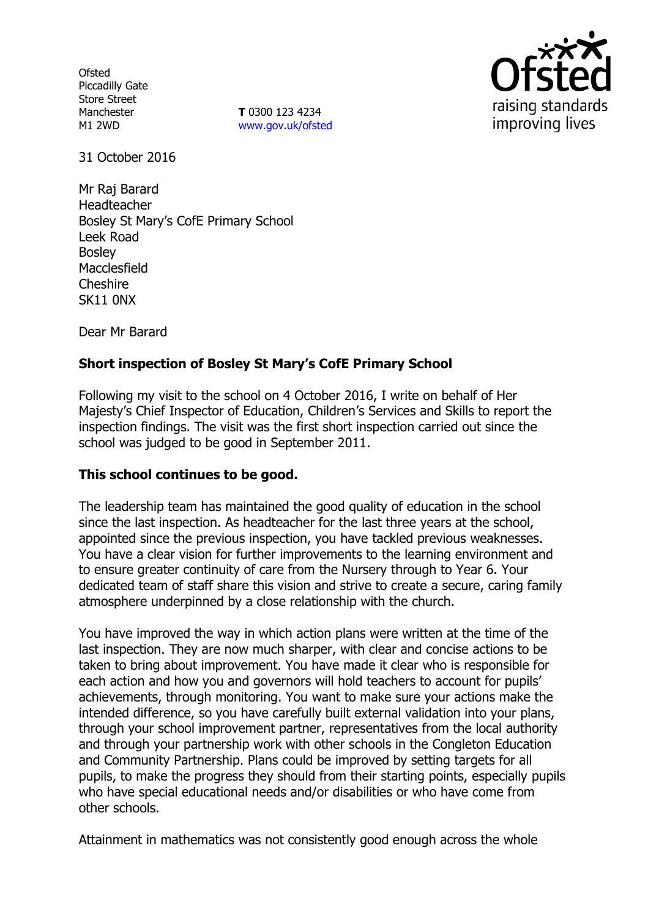**Ofsted** Piccadilly Gate Store Street Manchester M1 2WD

**T** 0300 123 4234 www.gov.uk/ofsted



31 October 2016

Mr Raj Barard Headteacher Bosley St Mary's CofE Primary School Leek Road Bosley Macclesfield Cheshire SK11 0NX

Dear Mr Barard

# **Short inspection of Bosley St Mary's CofE Primary School**

Following my visit to the school on 4 October 2016, I write on behalf of Her Majesty's Chief Inspector of Education, Children's Services and Skills to report the inspection findings. The visit was the first short inspection carried out since the school was judged to be good in September 2011.

## **This school continues to be good.**

The leadership team has maintained the good quality of education in the school since the last inspection. As headteacher for the last three years at the school, appointed since the previous inspection, you have tackled previous weaknesses. You have a clear vision for further improvements to the learning environment and to ensure greater continuity of care from the Nursery through to Year 6. Your dedicated team of staff share this vision and strive to create a secure, caring family atmosphere underpinned by a close relationship with the church.

You have improved the way in which action plans were written at the time of the last inspection. They are now much sharper, with clear and concise actions to be taken to bring about improvement. You have made it clear who is responsible for each action and how you and governors will hold teachers to account for pupils' achievements, through monitoring. You want to make sure your actions make the intended difference, so you have carefully built external validation into your plans, through your school improvement partner, representatives from the local authority and through your partnership work with other schools in the Congleton Education and Community Partnership. Plans could be improved by setting targets for all pupils, to make the progress they should from their starting points, especially pupils who have special educational needs and/or disabilities or who have come from other schools.

Attainment in mathematics was not consistently good enough across the whole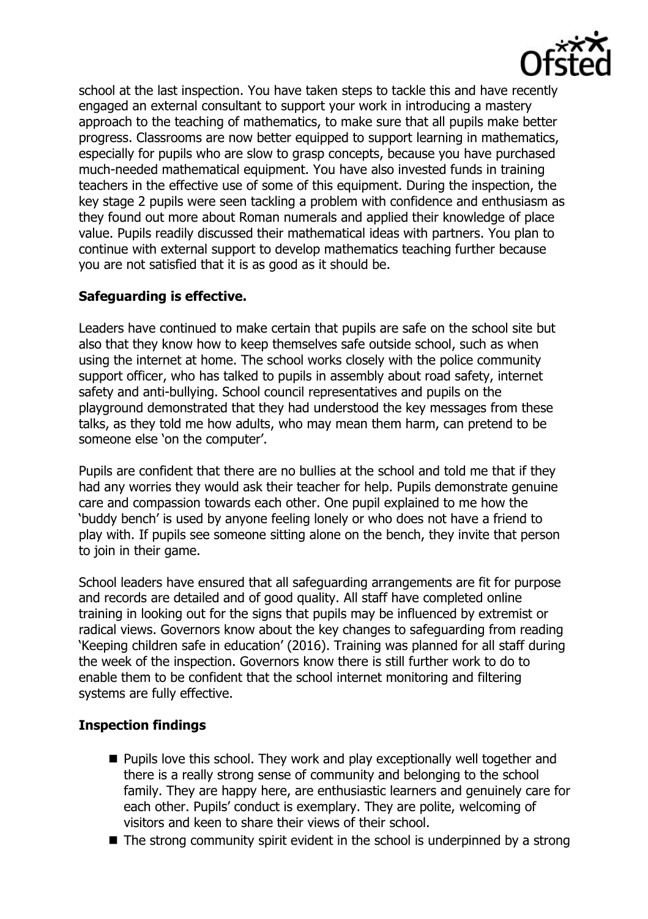

school at the last inspection. You have taken steps to tackle this and have recently engaged an external consultant to support your work in introducing a mastery approach to the teaching of mathematics, to make sure that all pupils make better progress. Classrooms are now better equipped to support learning in mathematics, especially for pupils who are slow to grasp concepts, because you have purchased much-needed mathematical equipment. You have also invested funds in training teachers in the effective use of some of this equipment. During the inspection, the key stage 2 pupils were seen tackling a problem with confidence and enthusiasm as they found out more about Roman numerals and applied their knowledge of place value. Pupils readily discussed their mathematical ideas with partners. You plan to continue with external support to develop mathematics teaching further because you are not satisfied that it is as good as it should be.

# **Safeguarding is effective.**

Leaders have continued to make certain that pupils are safe on the school site but also that they know how to keep themselves safe outside school, such as when using the internet at home. The school works closely with the police community support officer, who has talked to pupils in assembly about road safety, internet safety and anti-bullying. School council representatives and pupils on the playground demonstrated that they had understood the key messages from these talks, as they told me how adults, who may mean them harm, can pretend to be someone else 'on the computer'.

Pupils are confident that there are no bullies at the school and told me that if they had any worries they would ask their teacher for help. Pupils demonstrate genuine care and compassion towards each other. One pupil explained to me how the 'buddy bench' is used by anyone feeling lonely or who does not have a friend to play with. If pupils see someone sitting alone on the bench, they invite that person to join in their game.

School leaders have ensured that all safeguarding arrangements are fit for purpose and records are detailed and of good quality. All staff have completed online training in looking out for the signs that pupils may be influenced by extremist or radical views. Governors know about the key changes to safeguarding from reading 'Keeping children safe in education' (2016). Training was planned for all staff during the week of the inspection. Governors know there is still further work to do to enable them to be confident that the school internet monitoring and filtering systems are fully effective.

# **Inspection findings**

- **Pupils love this school. They work and play exceptionally well together and** there is a really strong sense of community and belonging to the school family. They are happy here, are enthusiastic learners and genuinely care for each other. Pupils' conduct is exemplary. They are polite, welcoming of visitors and keen to share their views of their school.
- $\blacksquare$  The strong community spirit evident in the school is underpinned by a strong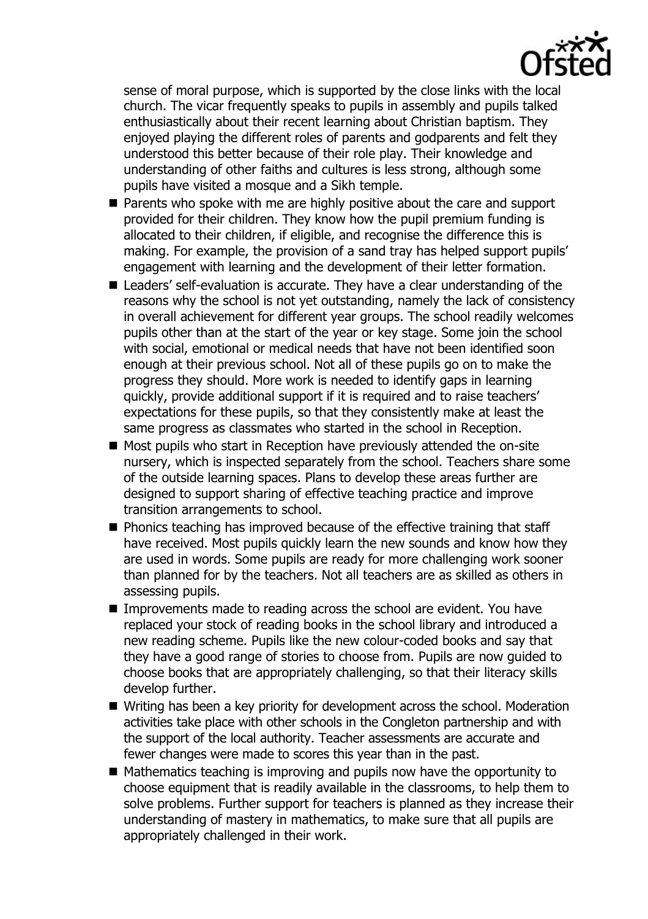

sense of moral purpose, which is supported by the close links with the local church. The vicar frequently speaks to pupils in assembly and pupils talked enthusiastically about their recent learning about Christian baptism. They enjoyed playing the different roles of parents and godparents and felt they understood this better because of their role play. Their knowledge and understanding of other faiths and cultures is less strong, although some pupils have visited a mosque and a Sikh temple.

- Parents who spoke with me are highly positive about the care and support provided for their children. They know how the pupil premium funding is allocated to their children, if eligible, and recognise the difference this is making. For example, the provision of a sand tray has helped support pupils' engagement with learning and the development of their letter formation.
- Leaders' self-evaluation is accurate. They have a clear understanding of the reasons why the school is not yet outstanding, namely the lack of consistency in overall achievement for different year groups. The school readily welcomes pupils other than at the start of the year or key stage. Some join the school with social, emotional or medical needs that have not been identified soon enough at their previous school. Not all of these pupils go on to make the progress they should. More work is needed to identify gaps in learning quickly, provide additional support if it is required and to raise teachers' expectations for these pupils, so that they consistently make at least the same progress as classmates who started in the school in Reception.
- Most pupils who start in Reception have previously attended the on-site nursery, which is inspected separately from the school. Teachers share some of the outside learning spaces. Plans to develop these areas further are designed to support sharing of effective teaching practice and improve transition arrangements to school.
- **Phonics teaching has improved because of the effective training that staff** have received. Most pupils quickly learn the new sounds and know how they are used in words. Some pupils are ready for more challenging work sooner than planned for by the teachers. Not all teachers are as skilled as others in assessing pupils.
- Improvements made to reading across the school are evident. You have replaced your stock of reading books in the school library and introduced a new reading scheme. Pupils like the new colour-coded books and say that they have a good range of stories to choose from. Pupils are now guided to choose books that are appropriately challenging, so that their literacy skills develop further.
- Writing has been a key priority for development across the school. Moderation activities take place with other schools in the Congleton partnership and with the support of the local authority. Teacher assessments are accurate and fewer changes were made to scores this year than in the past.
- $\blacksquare$  Mathematics teaching is improving and pupils now have the opportunity to choose equipment that is readily available in the classrooms, to help them to solve problems. Further support for teachers is planned as they increase their understanding of mastery in mathematics, to make sure that all pupils are appropriately challenged in their work.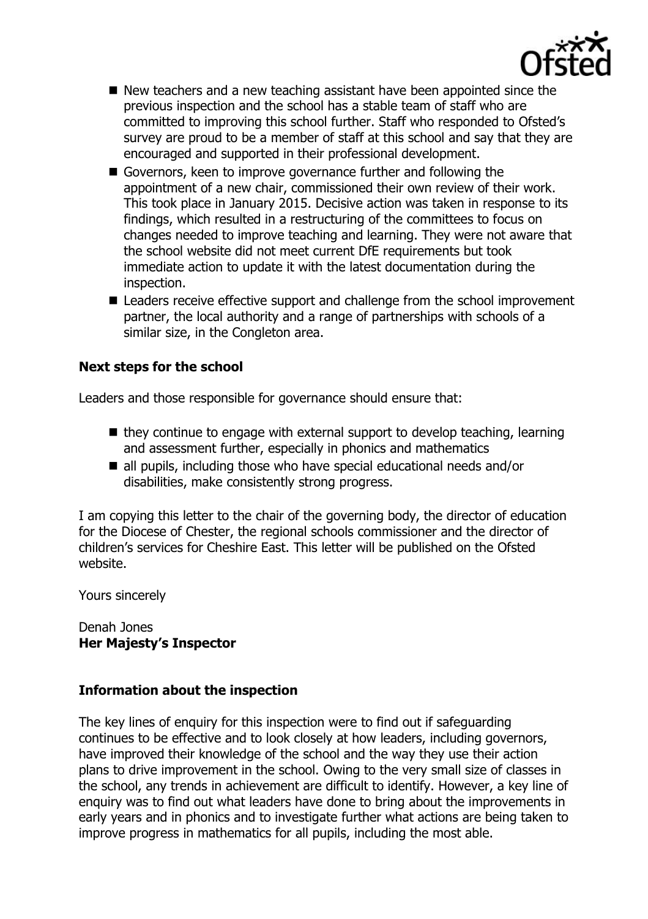

- $\blacksquare$  New teachers and a new teaching assistant have been appointed since the previous inspection and the school has a stable team of staff who are committed to improving this school further. Staff who responded to Ofsted's survey are proud to be a member of staff at this school and say that they are encouraged and supported in their professional development.
- Governors, keen to improve governance further and following the appointment of a new chair, commissioned their own review of their work. This took place in January 2015. Decisive action was taken in response to its findings, which resulted in a restructuring of the committees to focus on changes needed to improve teaching and learning. They were not aware that the school website did not meet current DfE requirements but took immediate action to update it with the latest documentation during the inspection.
- Leaders receive effective support and challenge from the school improvement partner, the local authority and a range of partnerships with schools of a similar size, in the Congleton area.

## **Next steps for the school**

Leaders and those responsible for governance should ensure that:

- $\blacksquare$  they continue to engage with external support to develop teaching, learning and assessment further, especially in phonics and mathematics
- all pupils, including those who have special educational needs and/or disabilities, make consistently strong progress.

I am copying this letter to the chair of the governing body, the director of education for the Diocese of Chester, the regional schools commissioner and the director of children's services for Cheshire East. This letter will be published on the Ofsted website.

Yours sincerely

Denah Jones **Her Majesty's Inspector**

## **Information about the inspection**

The key lines of enquiry for this inspection were to find out if safeguarding continues to be effective and to look closely at how leaders, including governors, have improved their knowledge of the school and the way they use their action plans to drive improvement in the school. Owing to the very small size of classes in the school, any trends in achievement are difficult to identify. However, a key line of enquiry was to find out what leaders have done to bring about the improvements in early years and in phonics and to investigate further what actions are being taken to improve progress in mathematics for all pupils, including the most able.